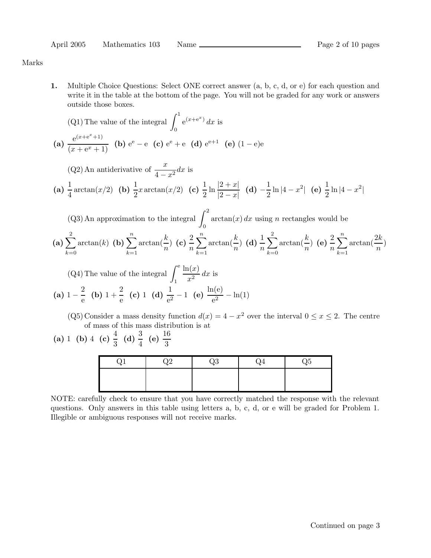Marks

1. Multiple Choice Questions: Select ONE correct answer (a, b, c, d, or e) for each question and write it in the table at the bottom of the page. You will not be graded for any work or answers outside those boxes.

(Q1) The value of the integral 
$$
\int_0^1 e^{(x+e^x)} dx
$$
 is  
\n(a)  $\frac{e^{(x+e^x+1)}}{(x+e^x+1)}$  (b)  $e^e - e$  (c)  $e^e + e$  (d)  $e^{e+1}$  (e)  $(1-e)e^{e}$ 

(Q2) An antiderivative of 
$$
\frac{x}{4 - x^2} dx
$$
 is  
\n(a)  $\frac{1}{4} \arctan(x/2)$  (b)  $\frac{1}{2} x \arctan(x/2)$  (c)  $\frac{1}{2} \ln \frac{|2 + x|}{|2 - x|}$  (d)  $-\frac{1}{2} \ln |4 - x^2|$  (e)  $\frac{1}{2} \ln |4 - x^2|$ 

(Q3) An approximation to the integral 
$$
\int_0^2 \arctan(x) dx
$$
 using *n* rectangles would be  
\n(a)  $\sum_{k=0}^2 \arctan(k)$  (b)  $\sum_{k=1}^n \arctan(\frac{k}{n})$  (c)  $\frac{2}{n} \sum_{k=1}^n \arctan(\frac{k}{n})$  (d)  $\frac{1}{n} \sum_{k=0}^2 \arctan(\frac{k}{n})$  (e)  $\frac{2}{n} \sum_{k=1}^n \arctan(\frac{2k}{n})$ 

(Q4) The value of the integral 
$$
\int_{1}^{e} \frac{\ln(x)}{x^2} dx
$$
 is  
\n(a)  $1 - \frac{2}{e}$  (b)  $1 + \frac{2}{e}$  (c) 1 (d)  $\frac{1}{e^2} - 1$  (e)  $\frac{\ln(e)}{e^2} - \ln(1)$ 

(Q5) Consider a mass density function  $d(x) = 4 - x^2$  over the interval  $0 \le x \le 2$ . The centre of mass of this mass distribution is at

(a) 1 (b) 4 (c)  $\frac{4}{3}$  (d)  $\frac{3}{4}$  (e)  $\frac{16}{3}$ 

| ∿ | ۰. | J4 | -<br>הנ |
|---|----|----|---------|
|   |    |    |         |
|   |    |    |         |

NOTE: carefully check to ensure that you have correctly matched the response with the relevant questions. Only answers in this table using letters a, b, c, d, or e will be graded for Problem 1. Illegible or ambiguous responses will not receive marks.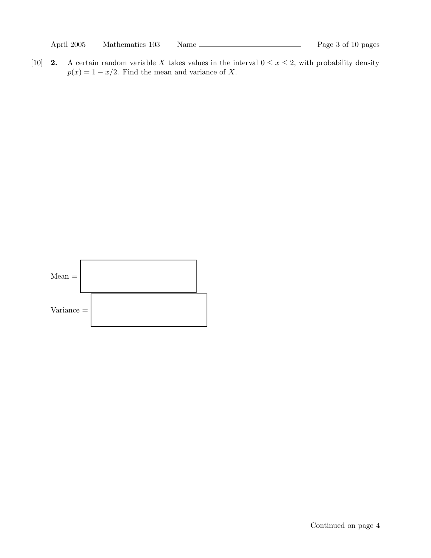[10] **2.** A certain random variable X takes values in the interval  $0 \le x \le 2$ , with probability density  $p(x) = 1 - x/2$ . Find the mean and variance of X.

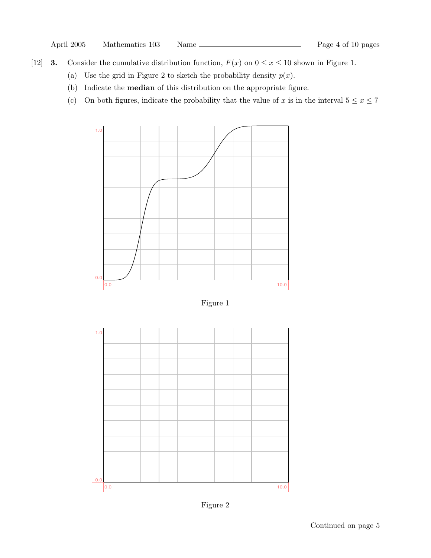- [12] **3.** Consider the cumulative distribution function,  $F(x)$  on  $0 \le x \le 10$  shown in Figure 1.
	- (a) Use the grid in Figure 2 to sketch the probability density  $p(x)$ .
	- (b) Indicate the median of this distribution on the appropriate figure.
	- (c) On both figures, indicate the probability that the value of x is in the interval  $5 \le x \le 7$



Figure 1



Figure 2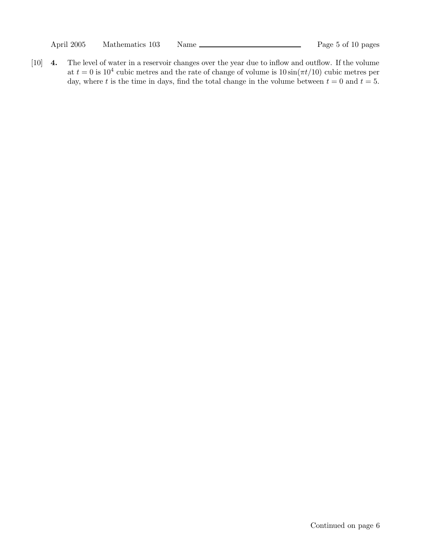[10] 4. The level of water in a reservoir changes over the year due to inflow and outflow. If the volume at  $t = 0$  is 10<sup>4</sup> cubic metres and the rate of change of volume is  $10 \sin(\pi t/10)$  cubic metres per day, where t is the time in days, find the total change in the volume between  $t = 0$  and  $t = 5$ .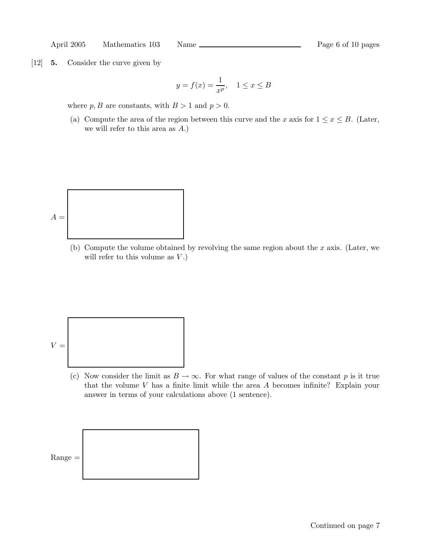April 2005 Mathematics 103 Name Page 6 of 10 pages

[12] **5.** Consider the curve given by

$$
y = f(x) = \frac{1}{x^p}, \quad 1 \le x \le B
$$

where  $p, B$  are constants, with  $B > 1$  and  $p > 0$ .

(a) Compute the area of the region between this curve and the x axis for  $1 \leq x \leq B$ . (Later, we will refer to this area as A.)



(b) Compute the volume obtained by revolving the same region about the  $x$  axis. (Later, we will refer to this volume as  $V$ .)

$$
V = \boxed{\phantom{\Bigg|}}
$$

(c) Now consider the limit as  $B \to \infty$ . For what range of values of the constant p is it true that the volume  $V$  has a finite limit while the area  $A$  becomes infinite? Explain your answer in terms of your calculations above (1 sentence).

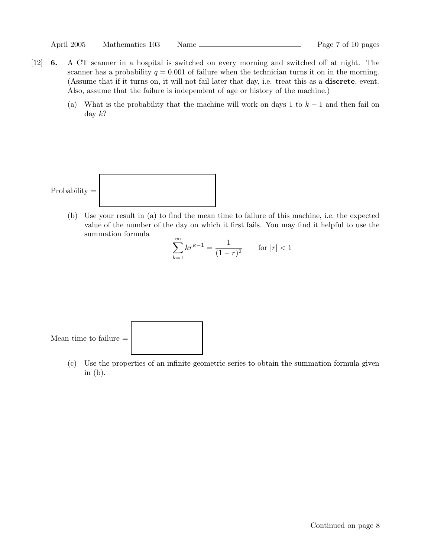- [12] 6. A CT scanner in a hospital is switched on every morning and switched off at night. The scanner has a probability  $q = 0.001$  of failure when the technician turns it on in the morning. (Assume that if it turns on, it will not fail later that day, i.e. treat this as a discrete, event. Also, assume that the failure is independent of age or history of the machine.)
	- (a) What is the probability that the machine will work on days 1 to  $k-1$  and then fail on day  $k$ ?

$$
\boxed{\text{Probability} = \boxed{\color{white} \boxed{\color{white} \text{8.12}}}
$$

(b) Use your result in (a) to find the mean time to failure of this machine, i.e. the expected value of the number of the day on which it first fails. You may find it helpful to use the summation formula

$$
\sum_{k=1}^{\infty} kr^{k-1} = \frac{1}{(1-r)^2} \qquad \text{for } |r| < 1
$$

Mean time to failure  $\equiv$ 

(c) Use the properties of an infinite geometric series to obtain the summation formula given in  $(b)$ .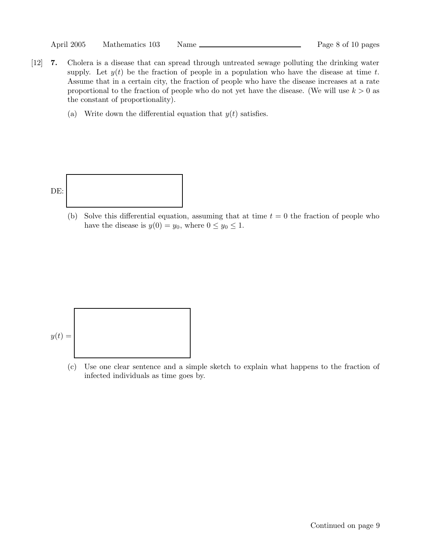| April 2005 | Mathematics 103 | Name |  |
|------------|-----------------|------|--|
|            |                 |      |  |

- [12] 7. Cholera is a disease that can spread through untreated sewage polluting the drinking water supply. Let  $y(t)$  be the fraction of people in a population who have the disease at time t. Assume that in a certain city, the fraction of people who have the disease increases at a rate proportional to the fraction of people who do not yet have the disease. (We will use  $k > 0$  as the constant of proportionality).
	- (a) Write down the differential equation that  $y(t)$  satisfies.



(b) Solve this differential equation, assuming that at time  $t = 0$  the fraction of people who have the disease is  $y(0) = y_0$ , where  $0 \le y_0 \le 1$ .



(c) Use one clear sentence and a simple sketch to explain what happens to the fraction of infected individuals as time goes by.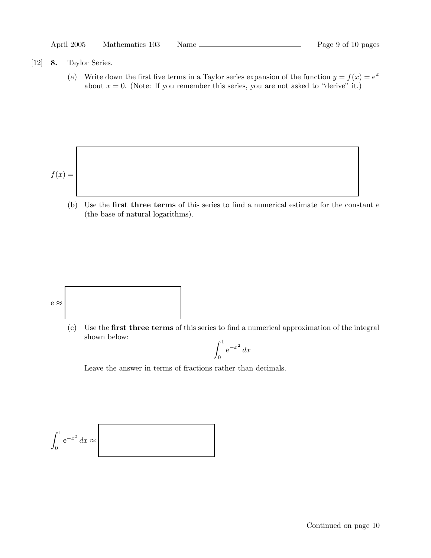| April 2005 | Mathematics 103 | Name | Page 9 of 10 pages |
|------------|-----------------|------|--------------------|
|------------|-----------------|------|--------------------|

## [12] 8. Taylor Series.

(a) Write down the first five terms in a Taylor series expansion of the function  $y = f(x) = e^x$ about  $x = 0$ . (Note: If you remember this series, you are not asked to "derive" it.)

$$
f(x) =
$$

(b) Use the first three terms of this series to find a numerical estimate for the constant e (the base of natural logarithms).



(c) Use the first three terms of this series to find a numerical approximation of the integral shown below:

$$
\int_0^1 e^{-x^2} \, dx
$$

Leave the answer in terms of fractions rather than decimals.

$$
\int_0^1 e^{-x^2} dx \approx
$$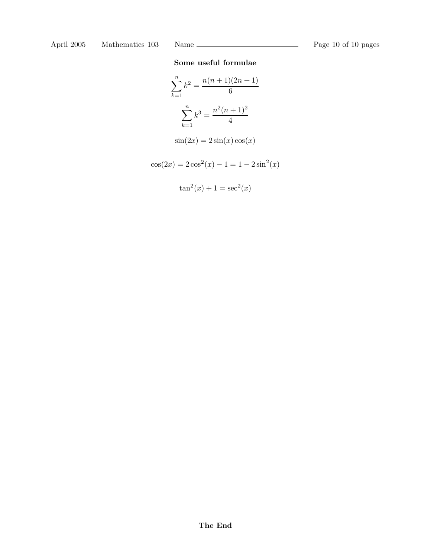# Some useful formulae

$$
\sum_{k=1}^{n} k^{2} = \frac{n(n+1)(2n+1)}{6}
$$

$$
\sum_{k=1}^{n} k^{3} = \frac{n^{2}(n+1)^{2}}{4}
$$

$$
\sin(2x) = 2\sin(x)\cos(x)
$$

$$
\cos(2x) = 2\cos^{2}(x) - 1 = 1 - 2\sin^{2}(x)
$$

$$
\tan^2(x) + 1 = \sec^2(x)
$$